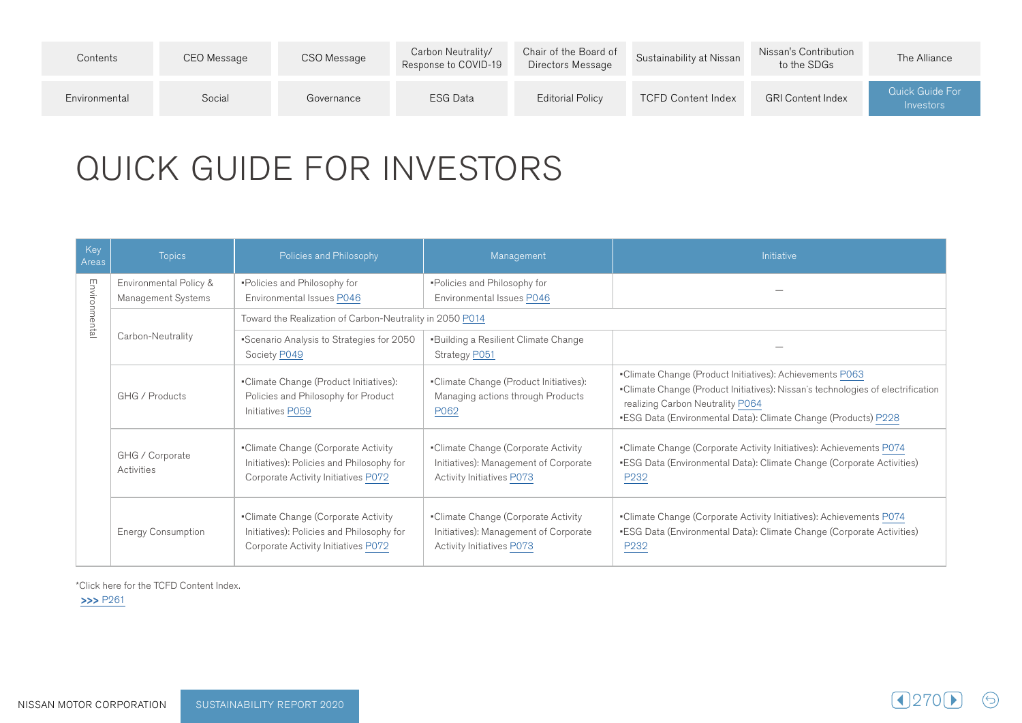| Contents      | CEO Message | CSO Message | Carbon Neutrality/<br>Response to COVID-19 | Chair of the Board of<br>Directors Message | Sustainability at Nissan  | Nissan's Contribution<br>to the SDGs | The Alliance                        |
|---------------|-------------|-------------|--------------------------------------------|--------------------------------------------|---------------------------|--------------------------------------|-------------------------------------|
| Environmental | Social      | Governance  | ESG Data                                   | Editorial Policy                           | <b>TCFD Content Index</b> | <b>GRI Content Index</b>             | <b>Quick Guide For</b><br>Investors |

## QUICK GUIDE FOR INVESTORS

| Key<br>Areas  | <b>Topics</b>                                                                                                       | Policies and Philosophy                                                                                                 | Management                                                                                                       | <b>Initiative</b>                                                                                                                                                                                                                                       |
|---------------|---------------------------------------------------------------------------------------------------------------------|-------------------------------------------------------------------------------------------------------------------------|------------------------------------------------------------------------------------------------------------------|---------------------------------------------------------------------------------------------------------------------------------------------------------------------------------------------------------------------------------------------------------|
| Environmental | Environmental Policy &<br>Management Systems                                                                        | -Policies and Philosophy for<br>Environmental Issues P046                                                               | -Policies and Philosophy for<br>Environmental Issues P046                                                        |                                                                                                                                                                                                                                                         |
|               |                                                                                                                     | Toward the Realization of Carbon-Neutrality in 2050 P014                                                                |                                                                                                                  |                                                                                                                                                                                                                                                         |
|               | Carbon-Neutrality                                                                                                   | "Scenario Analysis to Strategies for 2050<br>Society P049                                                               | <b>Building a Resilient Climate Change</b><br>Strategy P051                                                      |                                                                                                                                                                                                                                                         |
|               | •Climate Change (Product Initiatives):<br>GHG / Products<br>Policies and Philosophy for Product<br>Initiatives P059 |                                                                                                                         | •Climate Change (Product Initiatives):<br>Managing actions through Products<br>P062                              | •Climate Change (Product Initiatives): Achievements P063<br>•Climate Change (Product Initiatives): Nissan's technologies of electrification<br>realizing Carbon Neutrality P064<br><b>ESG Data (Environmental Data): Climate Change (Products) P228</b> |
|               | GHG / Corporate<br>Activities                                                                                       | •Climate Change (Corporate Activity<br>Initiatives): Policies and Philosophy for<br>Corporate Activity Initiatives P072 | •Climate Change (Corporate Activity<br>Initiatives): Management of Corporate<br><b>Activity Initiatives P073</b> | •Climate Change (Corporate Activity Initiatives): Achievements P074<br><b>ESG Data (Environmental Data): Climate Change (Corporate Activities)</b><br>P <sub>232</sub>                                                                                  |
|               | <b>Energy Consumption</b>                                                                                           | •Climate Change (Corporate Activity<br>Initiatives): Policies and Philosophy for<br>Corporate Activity Initiatives P072 | •Climate Change (Corporate Activity<br>Initiatives): Management of Corporate<br><b>Activity Initiatives P073</b> | •Climate Change (Corporate Activity Initiatives): Achievements P074<br><b>ESG Data (Environmental Data): Climate Change (Corporate Activities)</b><br>P <sub>232</sub>                                                                                  |

 $\odot$ 

\*Click here for the TCFD Content Index.

 $>>$  P261

NISSAN MOTOR CORPORATION SUSTAINABILITY REPORT 2020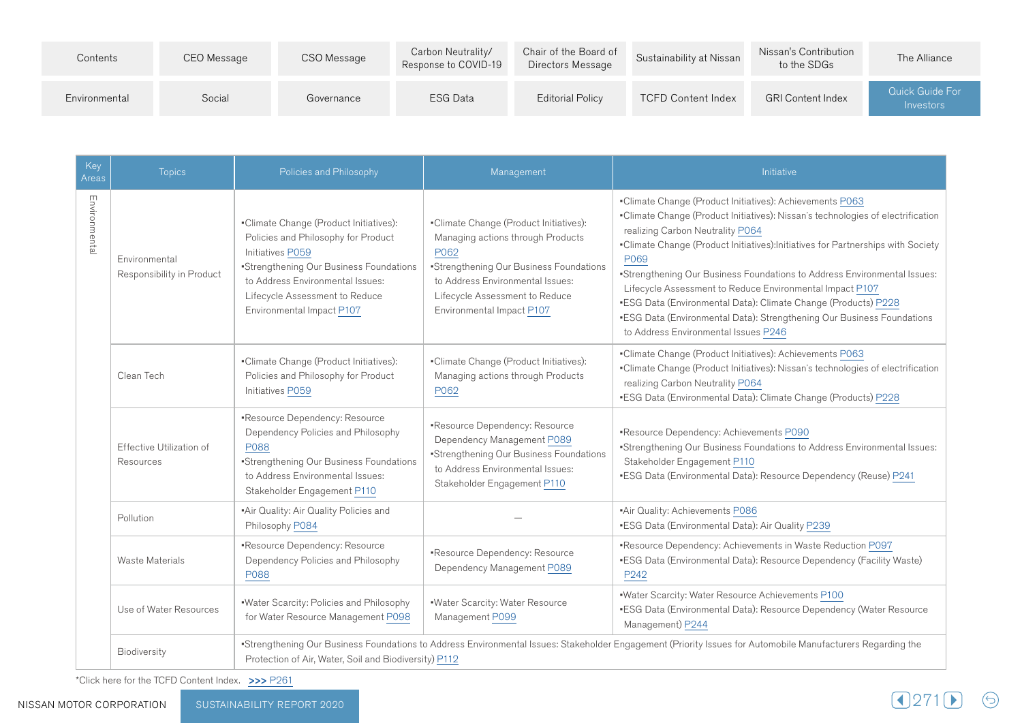| Contents      | CEO Message | CSO Message | Carbon Neutrality/<br>Response to COVID-19 | Chair of the Board of<br>Directors Message | Sustainability at Nissan  | Nissan's Contribution<br>to the SDGs | The Alliance                        |
|---------------|-------------|-------------|--------------------------------------------|--------------------------------------------|---------------------------|--------------------------------------|-------------------------------------|
| Environmental | Social      | Governance  | ESG Data                                   | <b>Editorial Policy</b>                    | <b>TCFD Content Index</b> | <b>GRI Content Index</b>             | <b>Quick Guide For</b><br>Investors |

| Key<br>Areas                                  | <b>Topics</b>                                                                                                   | Policies and Philosophy                                                                                                                                                                                                                         | Management                                                                                                                                                                                                                        | Initiative                                                                                                                                                                                                                                                                                                                                                                                                                                                                                                                                                                                             |  |
|-----------------------------------------------|-----------------------------------------------------------------------------------------------------------------|-------------------------------------------------------------------------------------------------------------------------------------------------------------------------------------------------------------------------------------------------|-----------------------------------------------------------------------------------------------------------------------------------------------------------------------------------------------------------------------------------|--------------------------------------------------------------------------------------------------------------------------------------------------------------------------------------------------------------------------------------------------------------------------------------------------------------------------------------------------------------------------------------------------------------------------------------------------------------------------------------------------------------------------------------------------------------------------------------------------------|--|
| Environmental                                 | Environmental<br>Responsibility in Product                                                                      | •Climate Change (Product Initiatives):<br>Policies and Philosophy for Product<br>Initiatives P059<br>*Strengthening Our Business Foundations<br>to Address Environmental Issues:<br>Lifecycle Assessment to Reduce<br>Environmental Impact P107 | •Climate Change (Product Initiatives):<br>Managing actions through Products<br>P062<br>*Strengthening Our Business Foundations<br>to Address Environmental Issues:<br>Lifecycle Assessment to Reduce<br>Environmental Impact P107 | •Climate Change (Product Initiatives): Achievements P063<br>•Climate Change (Product Initiatives): Nissan's technologies of electrification<br>realizing Carbon Neutrality P064<br>•Climate Change (Product Initiatives):Initiatives for Partnerships with Society<br>P069<br>"Strengthening Our Business Foundations to Address Environmental Issues:<br>Lifecycle Assessment to Reduce Environmental Impact P107<br>•ESG Data (Environmental Data): Climate Change (Products) P228<br>•ESG Data (Environmental Data): Strengthening Our Business Foundations<br>to Address Environmental Issues P246 |  |
|                                               | •Climate Change (Product Initiatives):<br>Policies and Philosophy for Product<br>Clean Tech<br>Initiatives P059 |                                                                                                                                                                                                                                                 | •Climate Change (Product Initiatives):<br>Managing actions through Products<br>P062                                                                                                                                               | •Climate Change (Product Initiatives): Achievements P063<br>•Climate Change (Product Initiatives): Nissan's technologies of electrification<br>realizing Carbon Neutrality P064<br>•ESG Data (Environmental Data): Climate Change (Products) P228                                                                                                                                                                                                                                                                                                                                                      |  |
| Effective Utilization of<br>P088<br>Resources |                                                                                                                 | ·Resource Dependency: Resource<br>Dependency Policies and Philosophy<br>*Strengthening Our Business Foundations<br>to Address Environmental Issues:<br>Stakeholder Engagement P110                                                              | -Resource Dependency: Resource<br>Dependency Management P089<br>*Strengthening Our Business Foundations<br>to Address Environmental Issues:<br>Stakeholder Engagement P110                                                        | ·Resource Dependency: Achievements P090<br>"Strengthening Our Business Foundations to Address Environmental Issues:<br>Stakeholder Engagement P110<br>•ESG Data (Environmental Data): Resource Dependency (Reuse) P241                                                                                                                                                                                                                                                                                                                                                                                 |  |
|                                               | Pollution                                                                                                       | -Air Quality: Air Quality Policies and<br>Philosophy P084                                                                                                                                                                                       |                                                                                                                                                                                                                                   | -Air Quality: Achievements P086<br>•ESG Data (Environmental Data): Air Quality P239                                                                                                                                                                                                                                                                                                                                                                                                                                                                                                                    |  |
|                                               | <b>Waste Materials</b>                                                                                          | -Resource Dependency: Resource<br>Dependency Policies and Philosophy<br>P088                                                                                                                                                                    | ·Resource Dependency: Resource<br>Dependency Management P089                                                                                                                                                                      | *Resource Dependency: Achievements in Waste Reduction P097<br>•ESG Data (Environmental Data): Resource Dependency (Facility Waste)<br>P <sub>242</sub>                                                                                                                                                                                                                                                                                                                                                                                                                                                 |  |
|                                               | Use of Water Resources                                                                                          | ·Water Scarcity: Policies and Philosophy<br>for Water Resource Management P098                                                                                                                                                                  | · Water Scarcity: Water Resource<br>Management P099                                                                                                                                                                               | .Water Scarcity: Water Resource Achievements P100<br>•ESG Data (Environmental Data): Resource Dependency (Water Resource<br>Management) P244                                                                                                                                                                                                                                                                                                                                                                                                                                                           |  |
|                                               | Biodiversity                                                                                                    | Protection of Air, Water, Soil and Biodiversity) P112                                                                                                                                                                                           |                                                                                                                                                                                                                                   | *Strengthening Our Business Foundations to Address Environmental Issues: Stakeholder Engagement (Priority Issues for Automobile Manufacturers Regarding the                                                                                                                                                                                                                                                                                                                                                                                                                                            |  |

\*Click here for the TCFD Content Index. >>> P261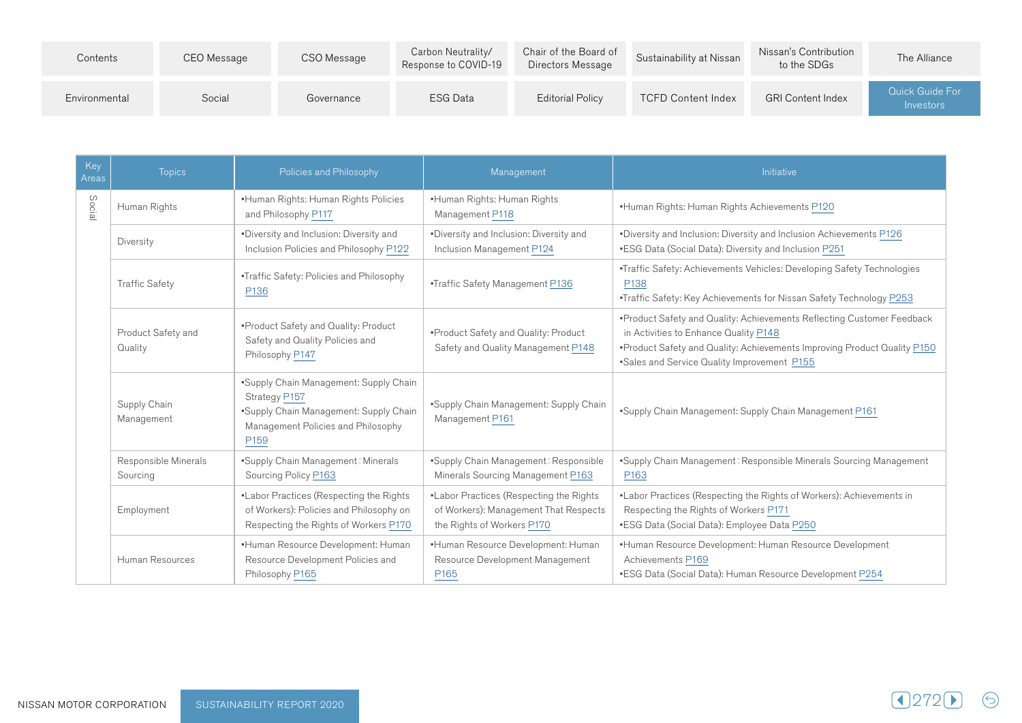| Contents      | CEO Message | CSO Message | Carbon Neutrality/<br>Response to COVID-19 | Chair of the Board of<br>Directors Message | Sustainability at Nissan  | Nissan's Contribution<br>to the SDGs | The Alliance                                      |
|---------------|-------------|-------------|--------------------------------------------|--------------------------------------------|---------------------------|--------------------------------------|---------------------------------------------------|
| Environmental | Social      | Governance  | <b>ESG Data</b>                            | <b>Editorial Policy</b>                    | <b>TCFD Content Index</b> | <b>GRI Content Index</b>             | Quick Guide For<br><i><u><b>Investors</b></u></i> |

| Key<br>Areas | <b>Topics</b>                                                               | Policies and Philosophy                                                                                                                                     | Management                                                                                                     | Initiative                                                                                                                                                                                                                                 |
|--------------|-----------------------------------------------------------------------------|-------------------------------------------------------------------------------------------------------------------------------------------------------------|----------------------------------------------------------------------------------------------------------------|--------------------------------------------------------------------------------------------------------------------------------------------------------------------------------------------------------------------------------------------|
| Socia        | .Human Rights: Human Rights Policies<br>Human Rights<br>and Philosophy P117 |                                                                                                                                                             | ·Human Rights: Human Rights<br>Management P118                                                                 | .Human Rights: Human Rights Achievements P120                                                                                                                                                                                              |
|              | Diversity                                                                   | .Diversity and Inclusion: Diversity and<br>Inclusion Policies and Philosophy P122                                                                           | ·Diversity and Inclusion: Diversity and<br>Inclusion Management P124                                           | *Diversity and Inclusion: Diversity and Inclusion Achievements P126<br>•ESG Data (Social Data): Diversity and Inclusion P251                                                                                                               |
|              | <b>Traffic Safety</b>                                                       | .Traffic Safety: Policies and Philosophy<br>P136                                                                                                            | •Traffic Safety Management P136                                                                                | •Traffic Safety: Achievements Vehicles: Developing Safety Technologies<br>P138<br>•Traffic Safety: Key Achievements for Nissan Safety Technology P253                                                                                      |
|              | Product Safety and<br>Quality                                               | • Product Safety and Quality: Product<br>Safety and Quality Policies and<br>Philosophy P147                                                                 | •Product Safety and Quality: Product<br>Safety and Quality Management P148                                     | •Product Safety and Quality: Achievements Reflecting Customer Feedback<br>in Activities to Enhance Quality P148<br>•Product Safety and Quality: Achievements Improving Product Quality P150<br>•Sales and Service Quality Improvement P155 |
|              | Supply Chain<br>Management                                                  | "Supply Chain Management: Supply Chain<br>Strategy P157<br>•Supply Chain Management: Supply Chain<br>Management Policies and Philosophy<br>P <sub>159</sub> | "Supply Chain Management: Supply Chain<br>Management P161                                                      | . Supply Chain Management: Supply Chain Management P161                                                                                                                                                                                    |
|              | Responsible Minerals<br>Sourcing                                            | •Supply Chain Management: Minerals<br>Sourcing Policy P163                                                                                                  | •Supply Chain Management: Responsible<br>Minerals Sourcing Management P163                                     | "Supply Chain Management: Responsible Minerals Sourcing Management<br>P <sub>163</sub>                                                                                                                                                     |
|              | Employment                                                                  | .Labor Practices (Respecting the Rights<br>of Workers): Policies and Philosophy on<br>Respecting the Rights of Workers P170                                 | .Labor Practices (Respecting the Rights<br>of Workers): Management That Respects<br>the Rights of Workers P170 | .Labor Practices (Respecting the Rights of Workers): Achievements in<br>Respecting the Rights of Workers P171<br><b>ESG Data (Social Data): Employee Data P250</b>                                                                         |
|              | Human Resources                                                             | •Human Resource Development: Human<br>Resource Development Policies and<br>Philosophy P165                                                                  | •Human Resource Development: Human<br>Resource Development Management<br>P <sub>165</sub>                      | •Human Resource Development: Human Resource Development<br>Achievements P169<br>•ESG Data (Social Data): Human Resource Development P254                                                                                                   |